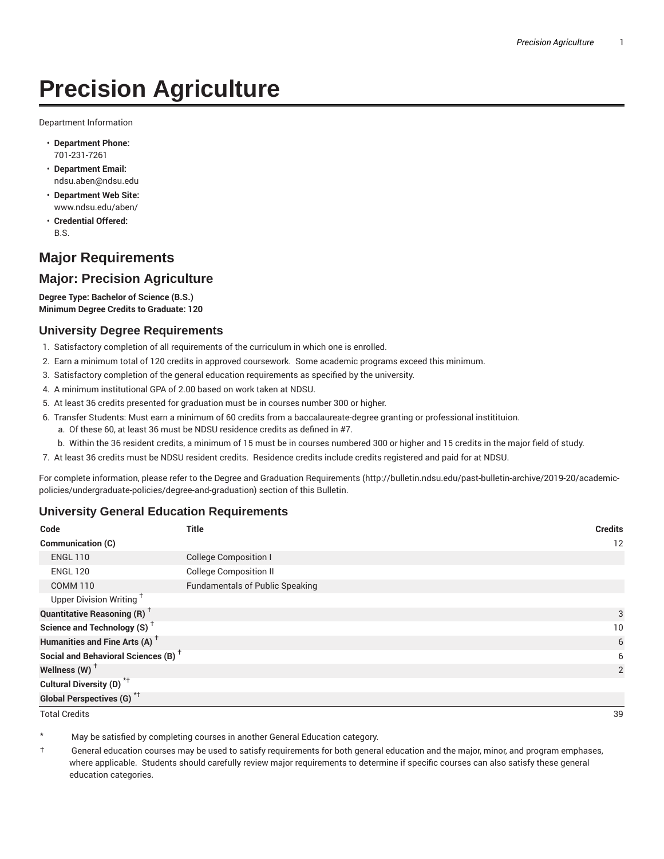# **Precision Agriculture**

Department Information

- **Department Phone:** 701-231-7261
- **Department Email:** ndsu.aben@ndsu.edu
- **Department Web Site:** www.ndsu.edu/aben/
- **Credential Offered:** B.S.

## **Major Requirements**

### **Major: Precision Agriculture**

**Degree Type: Bachelor of Science (B.S.) Minimum Degree Credits to Graduate: 120**

#### **University Degree Requirements**

- 1. Satisfactory completion of all requirements of the curriculum in which one is enrolled.
- 2. Earn a minimum total of 120 credits in approved coursework. Some academic programs exceed this minimum.
- 3. Satisfactory completion of the general education requirements as specified by the university.
- 4. A minimum institutional GPA of 2.00 based on work taken at NDSU.
- 5. At least 36 credits presented for graduation must be in courses number 300 or higher.
- 6. Transfer Students: Must earn a minimum of 60 credits from a baccalaureate-degree granting or professional institituion.
	- a. Of these 60, at least 36 must be NDSU residence credits as defined in #7.
	- b. Within the 36 resident credits, a minimum of 15 must be in courses numbered 300 or higher and 15 credits in the major field of study.
- 7. At least 36 credits must be NDSU resident credits. Residence credits include credits registered and paid for at NDSU.

For complete information, please refer to the Degree and Graduation Requirements (http://bulletin.ndsu.edu/past-bulletin-archive/2019-20/academicpolicies/undergraduate-policies/degree-and-graduation) section of this Bulletin.

#### **University General Education Requirements**

| Code                                            | <b>Title</b>                           | <b>Credits</b> |
|-------------------------------------------------|----------------------------------------|----------------|
| <b>Communication (C)</b>                        |                                        | 12             |
| <b>ENGL 110</b>                                 | <b>College Composition I</b>           |                |
| <b>ENGL 120</b>                                 | <b>College Composition II</b>          |                |
| <b>COMM 110</b>                                 | <b>Fundamentals of Public Speaking</b> |                |
| Upper Division Writing <sup>+</sup>             |                                        |                |
| <b>Quantitative Reasoning (R)</b> <sup>†</sup>  |                                        | 3              |
| Science and Technology (S) <sup>+</sup>         |                                        | 10             |
| Humanities and Fine Arts (A) <sup>+</sup>       |                                        | 6              |
| Social and Behavioral Sciences (B) <sup>+</sup> |                                        | 6              |
| Wellness $(W)$ <sup>+</sup>                     |                                        | 2              |
| Cultural Diversity (D) <sup>*†</sup>            |                                        |                |
| <b>Global Perspectives (G)</b> * <sup>+</sup>   |                                        |                |

Total Credits 39

May be satisfied by completing courses in another General Education category.

† General education courses may be used to satisfy requirements for both general education and the major, minor, and program emphases, where applicable. Students should carefully review major requirements to determine if specific courses can also satisfy these general education categories.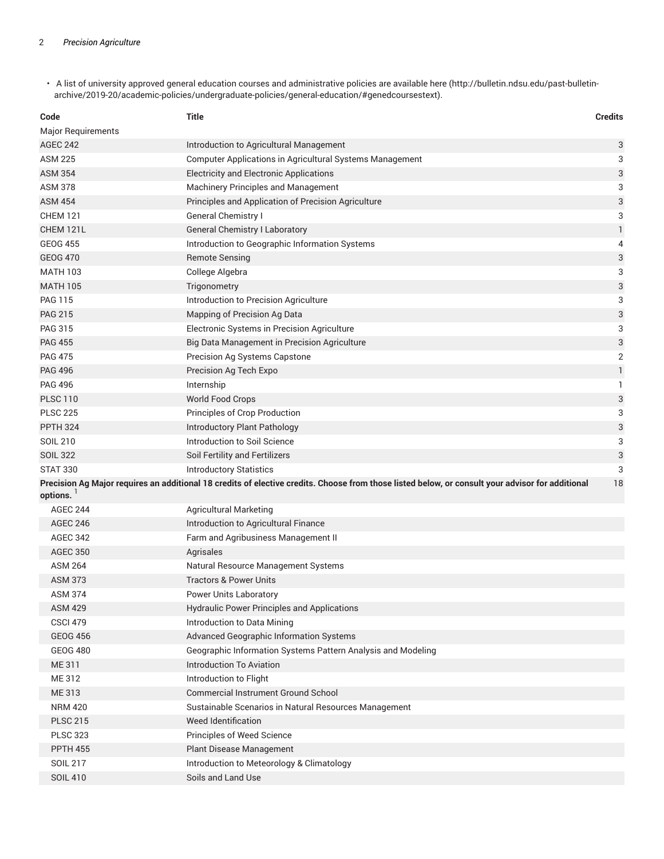• A list of university approved general education courses and administrative policies are available here (http://bulletin.ndsu.edu/past-bulletinarchive/2019-20/academic-policies/undergraduate-policies/general-education/#genedcoursestext).

| Code                      | <b>Title</b>                                                                                                                                     | <b>Credits</b> |
|---------------------------|--------------------------------------------------------------------------------------------------------------------------------------------------|----------------|
| <b>Major Requirements</b> |                                                                                                                                                  |                |
| AGEC 242                  | Introduction to Agricultural Management                                                                                                          | 3              |
| ASM 225                   | Computer Applications in Agricultural Systems Management                                                                                         | 3              |
| <b>ASM 354</b>            | <b>Electricity and Electronic Applications</b>                                                                                                   | 3              |
| ASM 378                   | Machinery Principles and Management                                                                                                              | 3              |
| ASM 454                   | Principles and Application of Precision Agriculture                                                                                              | 3              |
| <b>CHEM 121</b>           | <b>General Chemistry I</b>                                                                                                                       | 3              |
| CHEM 121L                 | <b>General Chemistry I Laboratory</b>                                                                                                            | 1              |
| <b>GEOG 455</b>           | Introduction to Geographic Information Systems                                                                                                   | 4              |
| <b>GEOG 470</b>           | <b>Remote Sensing</b>                                                                                                                            | 3              |
| <b>MATH 103</b>           | College Algebra                                                                                                                                  | 3              |
| <b>MATH 105</b>           | Trigonometry                                                                                                                                     | 3              |
| <b>PAG 115</b>            | Introduction to Precision Agriculture                                                                                                            | 3              |
| <b>PAG 215</b>            | Mapping of Precision Ag Data                                                                                                                     | 3              |
| PAG 315                   | Electronic Systems in Precision Agriculture                                                                                                      | 3              |
| <b>PAG 455</b>            | Big Data Management in Precision Agriculture                                                                                                     | 3              |
| <b>PAG 475</b>            | Precision Ag Systems Capstone                                                                                                                    | $\overline{2}$ |
| <b>PAG 496</b>            | Precision Ag Tech Expo                                                                                                                           | 1              |
| <b>PAG 496</b>            | Internship                                                                                                                                       | 1              |
| <b>PLSC 110</b>           | World Food Crops                                                                                                                                 | 3              |
| <b>PLSC 225</b>           | Principles of Crop Production                                                                                                                    | 3              |
| <b>PPTH 324</b>           | Introductory Plant Pathology                                                                                                                     | 3              |
| SOIL 210                  | Introduction to Soil Science                                                                                                                     | 3              |
| <b>SOIL 322</b>           | Soil Fertility and Fertilizers                                                                                                                   | 3              |
| <b>STAT 330</b>           | <b>Introductory Statistics</b>                                                                                                                   | 3              |
|                           | Precision Ag Major requires an additional 18 credits of elective credits. Choose from those listed below, or consult your advisor for additional | 18             |
| options.                  |                                                                                                                                                  |                |
| <b>AGEC 244</b>           | <b>Agricultural Marketing</b>                                                                                                                    |                |
| <b>AGEC 246</b>           | Introduction to Agricultural Finance                                                                                                             |                |
| <b>AGEC 342</b>           | Farm and Agribusiness Management II                                                                                                              |                |
| <b>AGEC 350</b>           | Agrisales                                                                                                                                        |                |
| <b>ASM 264</b>            | Natural Resource Management Systems                                                                                                              |                |
| <b>ASM 373</b>            | <b>Tractors &amp; Power Units</b>                                                                                                                |                |
| <b>ASM 374</b>            | Power Units Laboratory                                                                                                                           |                |
| <b>ASM 429</b>            | <b>Hydraulic Power Principles and Applications</b>                                                                                               |                |
| <b>CSCI 479</b>           | Introduction to Data Mining                                                                                                                      |                |
| <b>GEOG 456</b>           | Advanced Geographic Information Systems                                                                                                          |                |
| <b>GEOG 480</b>           | Geographic Information Systems Pattern Analysis and Modeling                                                                                     |                |
| ME 311                    | Introduction To Aviation                                                                                                                         |                |
| ME 312                    | Introduction to Flight                                                                                                                           |                |
| ME 313                    | Commercial Instrument Ground School                                                                                                              |                |
| <b>NRM 420</b>            | Sustainable Scenarios in Natural Resources Management                                                                                            |                |
| <b>PLSC 215</b>           | Weed Identification                                                                                                                              |                |
| <b>PLSC 323</b>           | Principles of Weed Science                                                                                                                       |                |
| <b>PPTH 455</b>           | Plant Disease Management                                                                                                                         |                |
| <b>SOIL 217</b>           | Introduction to Meteorology & Climatology                                                                                                        |                |
| <b>SOIL 410</b>           | Soils and Land Use                                                                                                                               |                |